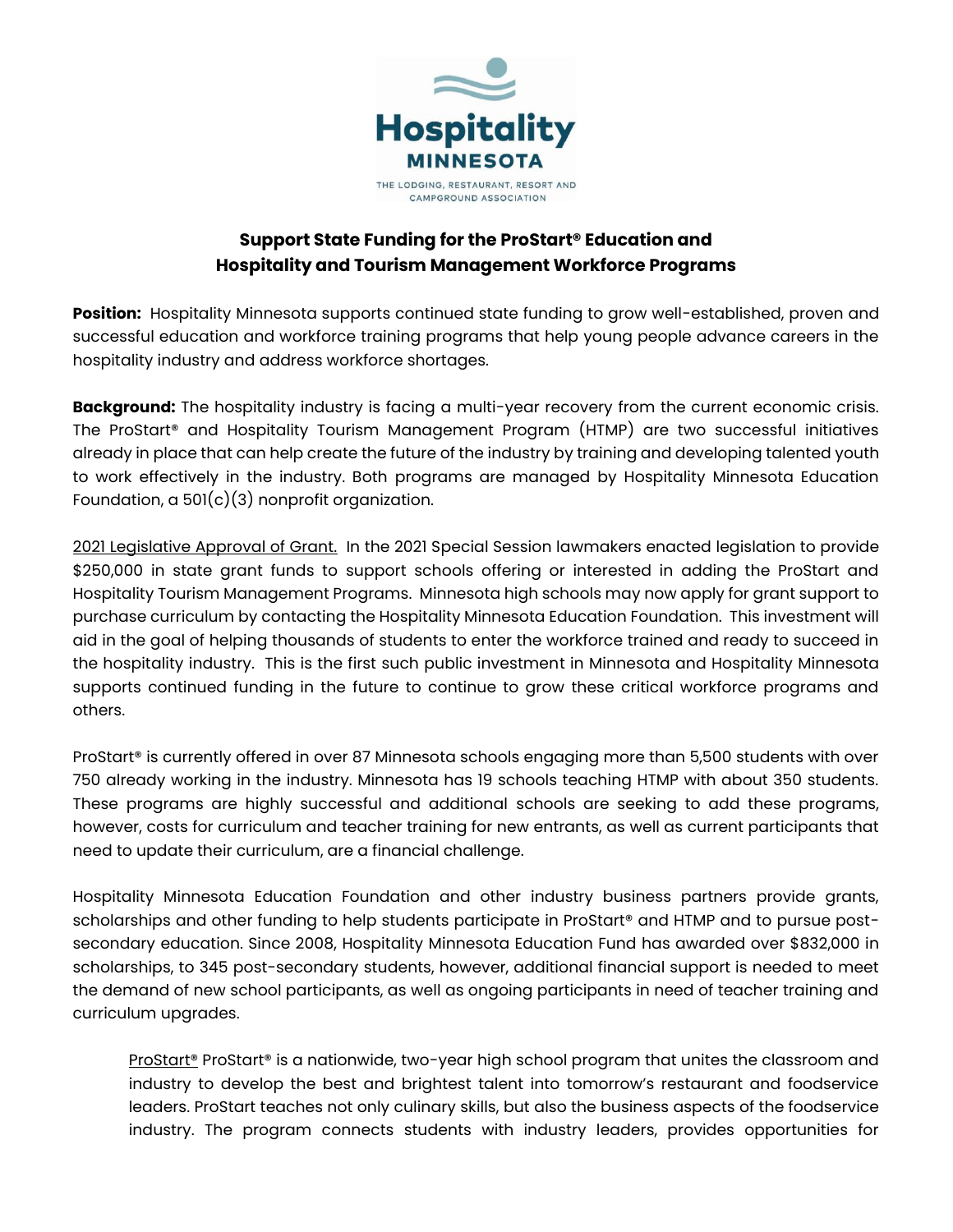

## **Support State Funding for the ProStart® Education and Hospitality and Tourism Management Workforce Programs**

**Position:** Hospitality Minnesota supports continued state funding to grow well-established, proven and successful education and workforce training programs that help young people advance careers in the hospitality industry and address workforce shortages.

**Background:** The hospitality industry is facing a multi-year recovery from the current economic crisis. The ProStart® and Hospitality Tourism Management Program (HTMP) are two successful initiatives already in place that can help create the future of the industry by training and developing talented youth to work effectively in the industry. Both programs are managed by Hospitality Minnesota Education Foundation,  $a\ 501(c)(3)$  nonprofit organization.

2021 Legislative Approval of Grant. In the 2021 Special Session lawmakers enacted legislation to provide \$250,000 in state grant funds to support schools offering or interested in adding the ProStart and Hospitality Tourism Management Programs. Minnesota high schools may now apply for grant support to purchase curriculum by contacting the Hospitality Minnesota Education Foundation. This investment will aid in the goal of helping thousands of students to enter the workforce trained and ready to succeed in the hospitality industry. This is the first such public investment in Minnesota and Hospitality Minnesota supports continued funding in the future to continue to grow these critical workforce programs and others.

ProStart® is currently offered in over 87 Minnesota schools engaging more than 5,500 students with over 750 already working in the industry. Minnesota has 19 schools teaching HTMP with about 350 students. These programs are highly successful and additional schools are seeking to add these programs, however, costs for curriculum and teacher training for new entrants, as well as current participants that need to update their curriculum, are a financial challenge.

Hospitality Minnesota Education Foundation and other industry business partners provide grants, scholarships and other funding to help students participate in ProStart® and HTMP and to pursue postsecondary education. Since 2008, Hospitality Minnesota Education Fund has awarded over \$832,000 in scholarships, to 345 post-secondary students, however, additional financial support is needed to meet the demand of new school participants, as well as ongoing participants in need of teacher training and curriculum upgrades.

ProStart® ProStart® is a nationwide, two-year high school program that unites the classroom and industry to develop the best and brightest talent into tomorrow's restaurant and foodservice leaders. ProStart teaches not only culinary skills, but also the business aspects of the foodservice industry. The program connects students with industry leaders, provides opportunities for